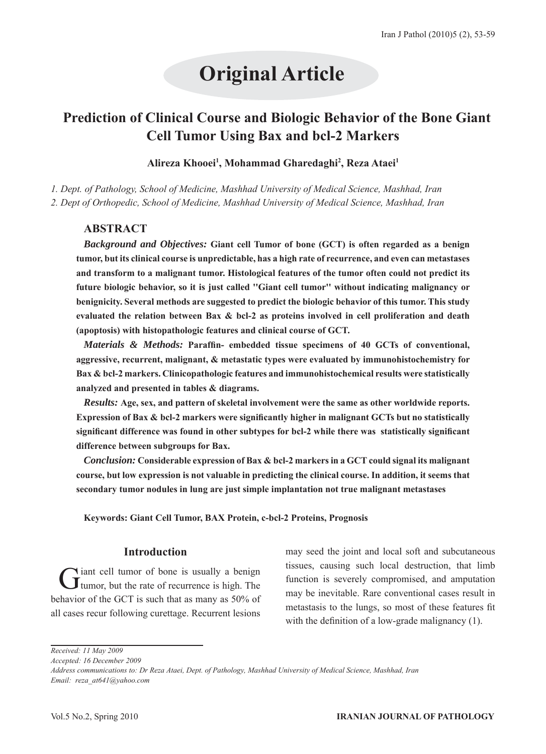# **Original Article**

# **Prediction of Clinical Course and Biologic Behavior of the Bone Giant Cell Tumor Using Bax and bcl-2 Markers**

# Alireza Khooei<sup>1</sup>, Mohammad Gharedaghi<sup>2</sup>, Reza Ataei<sup>1</sup>

*1. Dept. of Pathology, School of Medicine, Mashhad University of Medical Science, Mashhad, Iran 2. Dept of Orthopedic, School of Medicine, Mashhad University of Medical Science, Mashhad, Iran*

# **ABSTRACT**

*Background and Objectives:* **Giant cell Tumor of bone (GCT) is often regarded as a benign tumor, but its clinical course is unpredictable, has a high rate of recurrence, and even can metastases and transform to a malignant tumor. Histological features of the tumor often could not predict its future biologic behavior, so it is just called ''Giant cell tumor'' without indicating malignancy or benignicity. Several methods are suggested to predict the biologic behavior of this tumor. This study evaluated the relation between Bax & bcl-2 as proteins involved in cell proliferation and death (apoptosis) with histopathologic features and clinical course of GCT.**

*Materials & Methods:* **Paraffin- embedded tissue specimens of 40 GCTs of conventional, aggressive, recurrent, malignant, & metastatic types were evaluated by immunohistochemistry for Bax & bcl-2 markers. Clinicopathologic features and immunohistochemical results were statistically analyzed and presented in tables & diagrams.**

*Results:* **Age, sex, and pattern of skeletal involvement were the same as other worldwide reports. Expression of Bax & bcl-2 markers were significantly higher in malignant GCTs but no statistically significant difference was found in other subtypes for bcl-2 while there was statistically significant difference between subgroups for Bax.**

*Conclusion:* **Considerable expression of Bax & bcl-2 markers in a GCT could signal its malignant course, but low expression is not valuable in predicting the clinical course. In addition, it seems that secondary tumor nodules in lung are just simple implantation not true malignant metastases**

**Keywords: Giant Cell Tumor, BAX Protein, c-bcl-2 Proteins, Prognosis** 

# **Introduction**

Giant cell tumor of bone is usually a benign tumor, but the rate of recurrence is high. The behavior of the GCT is such that as many as 50% of all cases recur following curettage. Recurrent lesions

may seed the joint and local soft and subcutaneous tissues, causing such local destruction, that limb function is severely compromised, and amputation may be inevitable. Rare conventional cases result in metastasis to the lungs, so most of these features fit with the definition of a low-grade malignancy (1).

*Received: 11 May 2009*

*Accepted: 16 December 2009*

*Address communications to: Dr Reza Ataei, Dept. of Pathology, Mashhad University of Medical Science, Mashhad, Iran Email: reza\_at641@yahoo.com*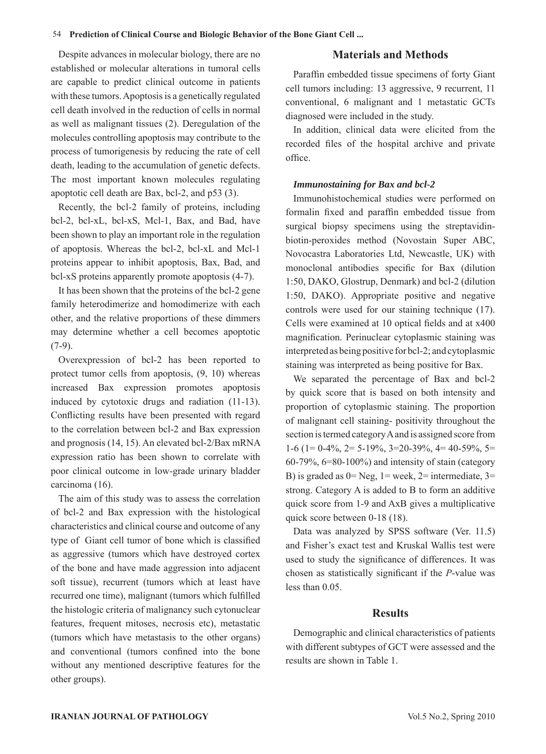#### 54 **Prediction of Clinical Course and Biologic Behavior of the Bone Giant Cell ...**

Despite advances in molecular biology, there are no established or molecular alterations in tumoral cells are capable to predict clinical outcome in patients with these tumors. Apoptosis is a genetically regulated cell death involved in the reduction of cells in normal as well as malignant tissues (2). Deregulation of the molecules controlling apoptosis may contribute to the process of tumorigenesis by reducing the rate of cell death, leading to the accumulation of genetic defects. The most important known molecules regulating apoptotic cell death are Bax, bcl-2, and p53 (3).

Recently, the bcl-2 family of proteins, including bcl-2, bcl-xL, bcl-xS, Mcl-1, Bax, and Bad, have been shown to play an important role in the regulation of apoptosis. Whereas the bcl-2, bcl-xL and Mcl-1 proteins appear to inhibit apoptosis, Bax, Bad, and bcl-xS proteins apparently promote apoptosis (4-7).

It has been shown that the proteins of the bcl-2 gene family heterodimerize and homodimerize with each other, and the relative proportions of these dimmers may determine whether a cell becomes apoptotic  $(7-9)$ .

Overexpression of bcl-2 has been reported to protect tumor cells from apoptosis, (9, 10) whereas increased Bax expression promotes apoptosis induced by cytotoxic drugs and radiation (11-13). Conflicting results have been presented with regard to the correlation between bcl-2 and Bax expression and prognosis (14, 15). An elevated bcl-2/Bax mRNA expression ratio has been shown to correlate with poor clinical outcome in low-grade urinary bladder carcinoma (16).

The aim of this study was to assess the correlation of bcl-2 and Bax expression with the histological characteristics and clinical course and outcome of any type of Giant cell tumor of bone which is classified as aggressive (tumors which have destroyed cortex of the bone and have made aggression into adjacent soft tissue), recurrent (tumors which at least have recurred one time), malignant (tumors which fulfilled the histologic criteria of malignancy such cytonuclear features, frequent mitoses, necrosis etc), metastatic (tumors which have metastasis to the other organs) and conventional (tumors confined into the bone without any mentioned descriptive features for the other groups).

#### **Materials and Methods**

Paraffin embedded tissue specimens of forty Giant cell tumors including: 13 aggressive, 9 recurrent, 11 conventional, 6 malignant and 1 metastatic GCTs diagnosed were included in the study.

In addition, clinical data were elicited from the recorded files of the hospital archive and private office.

#### *Immunostaining for Bax and bcl-2*

Immunohistochemical studies were performed on formalin fixed and paraffin embedded tissue from surgical biopsy specimens using the streptavidinbiotin-peroxides method (Novostain Super ABC, Novocastra Laboratories Ltd, Newcastle, UK) with monoclonal antibodies specific for Bax (dilution 1:50, DAKO, Glostrup, Denmark) and bcl-2 (dilution 1:50, DAKO). Appropriate positive and negative controls were used for our staining technique (17). Cells were examined at 10 optical fields and at x400 magnification. Perinuclear cytoplasmic staining was interpreted as being positive for bcl-2; and cytoplasmic staining was interpreted as being positive for Bax.

We separated the percentage of Bax and bcl-2 by quick score that is based on both intensity and proportion of cytoplasmic staining. The proportion of malignant cell staining- positivity throughout the section is termed category A and is assigned score from 1-6 (1= 0-4%, 2= 5-19%, 3=20-39%, 4= 40-59%, 5= 60-79%, 6=80-100%) and intensity of stain (category B) is graded as  $0=$  Neg,  $1=$  week,  $2=$  intermediate,  $3=$ strong. Category A is added to B to form an additive quick score from 1-9 and AxB gives a multiplicative quick score between 0-18 (18).

Data was analyzed by SPSS software (Ver. 11.5) and Fisher's exact test and Kruskal Wallis test were used to study the significance of differences. It was chosen as statistically significant if the *P*-value was less than 0.05.

## **Results**

Demographic and clinical characteristics of patients with different subtypes of GCT were assessed and the results are shown in Table 1.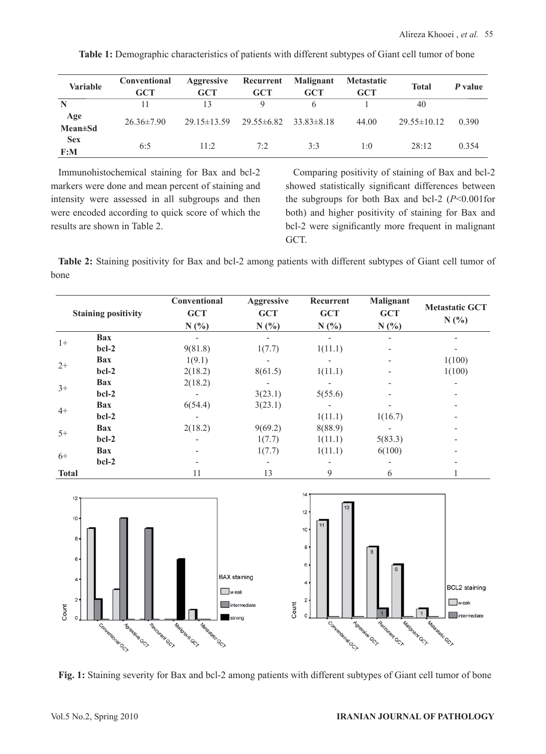| <b>Variable</b>        | Conventional<br>GCT | Aggressive<br><b>GCT</b> | Recurrent<br><b>GCT</b> | Malignant<br><b>GCT</b> | <b>Metastatic</b><br>GCT | <b>Total</b>    | P value |
|------------------------|---------------------|--------------------------|-------------------------|-------------------------|--------------------------|-----------------|---------|
| N                      | 11                  | 13                       | O                       |                         |                          | 40              |         |
| Age<br><b>Mean</b> ±Sd | $26.36\pm7.90$      | $29.15 \pm 13.59$        | $29.55\pm 6.82$         | $33.83 \pm 8.18$        | 44.00                    | $29.55\pm10.12$ | 0.390   |
| <b>Sex</b><br>F: M     | 6:5                 | $11 - 2$                 | 7:2                     | 3.3                     | 1:0                      | 28.12           | 0 3 5 4 |

Table 1: Demographic characteristics of patients with different subtypes of Giant cell tumor of bone

Immunohistochemical staining for Bax and bcl-2 markers were done and mean percent of staining and intensity were assessed in all subgroups and then were encoded according to quick score of which the results are shown in Table 2.

Comparing positivity of staining of Bax and bcl-2 showed statistically significant differences between the subgroups for both Bax and bcl-2 (*P*<0.001for both) and higher positivity of staining for Bax and bcl-2 were significantly more frequent in malignant GCT.

**Table 2:** Staining positivity for Bax and bcl-2 among patients with different subtypes of Giant cell tumor of bone

| <b>Staining positivity</b> |            | Conventional<br><b>GCT</b><br>N(%) | <b>Aggressive</b><br><b>GCT</b><br>N(%) | Recurrent<br><b>GCT</b><br>N(%) | <b>Malignant</b><br><b>GCT</b><br>N(% | <b>Metastatic GCT</b><br>N(%) |  |
|----------------------------|------------|------------------------------------|-----------------------------------------|---------------------------------|---------------------------------------|-------------------------------|--|
| $1+$                       | Bax        |                                    |                                         |                                 |                                       |                               |  |
|                            | $bcl-2$    | 9(81.8)                            | 1(7.7)                                  | 1(11.1)                         |                                       |                               |  |
| $2+$                       | Bax        | 1(9.1)                             |                                         | -                               | -                                     | 1(100)                        |  |
|                            | $bcl-2$    | 2(18.2)                            | 8(61.5)                                 | 1(11.1)                         |                                       | 1(100)                        |  |
| $3+$                       | <b>Bax</b> | 2(18.2)                            |                                         |                                 |                                       |                               |  |
|                            | $bcl-2$    |                                    | 3(23.1)                                 | 5(55.6)                         |                                       |                               |  |
| $4+$                       | Bax        | 6(54.4)                            | 3(23.1)                                 | -                               |                                       |                               |  |
|                            | $bcl-2$    |                                    |                                         | 1(11.1)                         | 1(16.7)                               |                               |  |
| $5+$                       | <b>Bax</b> | 2(18.2)                            | 9(69.2)                                 | 8(88.9)                         |                                       |                               |  |
|                            | bcl-2      |                                    | 1(7.7)                                  | 1(11.1)                         | 5(83.3)                               |                               |  |
| $6+$                       | Bax        |                                    | 1(7.7)                                  | 1(11.1)                         | 6(100)                                |                               |  |
|                            | $bcl-2$    |                                    |                                         |                                 |                                       |                               |  |
| <b>Total</b>               |            | 11                                 | 13                                      | 9                               | 6                                     |                               |  |



**Fig. 1:** Staining severity for Bax and bcl-2 among patients with different subtypes of Giant cell tumor of bone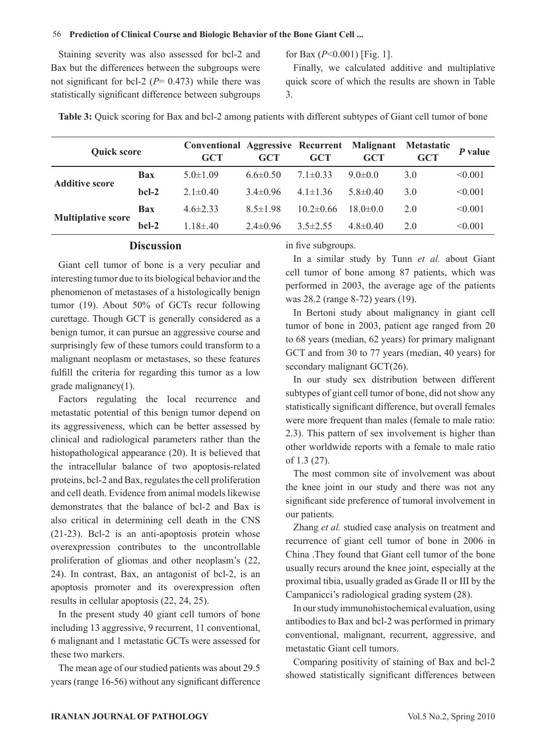#### 56 **Prediction of Clinical Course and Biologic Behavior of the Bone Giant Cell ...**

Staining severity was also assessed for bcl-2 and Bax but the differences between the subgroups were not significant for bcl-2 (*P*= 0.473) while there was statistically significant difference between subgroups for Bax (*P*<0.001) [Fig. 1].

Finally, we calculated additive and multiplative quick score of which the results are shown in Table 3.

Table 3: Quick scoring for Bax and bcl-2 among patients with different subtypes of Giant cell tumor of bone

| <b>Quick score</b>        |                   | <b>Conventional Aggressive Recurrent Malignant</b><br><b>GCT</b> | GCT            | <b>GCT</b>     | GCT            | <b>Metastatic</b><br><b>GCT</b> | $P$ value |
|---------------------------|-------------------|------------------------------------------------------------------|----------------|----------------|----------------|---------------------------------|-----------|
| <b>Additive score</b>     | <b>Bax</b>        | $5.0 \pm 1.09$                                                   | $6.6 \pm 0.50$ | $7.1 \pm 0.33$ | $9.0 \pm 0.0$  | 3.0                             | < 0.001   |
|                           | $_{\text{hcl-2}}$ | $2.1 \pm 0.40$                                                   | $34\pm0.96$    | $4.1 \pm 1.36$ | $58\pm040$     | 3.0                             | < 0.001   |
|                           | Bax               | $46\pm233$                                                       | $8.5 \pm 1.98$ | $102 \pm 0.66$ | $180+0.0$      | 2.0                             | < 0.001   |
| <b>Multiplative score</b> | $_{\text{hcl-2}}$ | $1.18 \pm 40$                                                    | $2.4 \pm 0.96$ | $3.5 \pm 2.55$ | $4.8 \pm 0.40$ | 2.0                             | < 0.001   |

#### **Discussion**

Giant cell tumor of bone is a very peculiar and interesting tumor due to its biological behavior and the phenomenon of metastases of a histologically benign tumor (19). About 50% of GCTs recur following curettage. Though GCT is generally considered as a benign tumor, it can pursue an aggressive course and surprisingly few of these tumors could transform to a malignant neoplasm or metastases, so these features fulfill the criteria for regarding this tumor as a low grade malignancy(1).

Factors regulating the local recurrence and metastatic potential of this benign tumor depend on its aggressiveness, which can be better assessed by clinical and radiological parameters rather than the histopathological appearance (20). It is believed that the intracellular balance of two apoptosis-related proteins, bcl-2 and Bax, regulates the cell proliferation and cell death. Evidence from animal models likewise demonstrates that the balance of bcl-2 and Bax is also critical in determining cell death in the CNS (21-23). Bcl-2 is an anti-apoptosis protein whose overexpression contributes to the uncontrollable proliferation of gliomas and other neoplasm's (22, 24). In contrast, Bax, an antagonist of bcl-2, is an apoptosis promoter and its overexpression often results in cellular apoptosis (22, 24, 25).

In the present study 40 giant cell tumors of bone including 13 aggressive, 9 recurrent, 11 conventional, 6 malignant and 1 metastatic GCTs were assessed for these two markers.

The mean age of our studied patients was about 29.5 years (range 16-56) without any significant difference in five subgroups.

In a similar study by Tunn *et al.* about Giant cell tumor of bone among 87 patients, which was performed in 2003, the average age of the patients was 28.2 (range 8-72) years (19).

In Bertoni study about malignancy in giant cell tumor of bone in 2003, patient age ranged from 20 to 68 years (median, 62 years) for primary malignant GCT and from 30 to 77 years (median, 40 years) for secondary malignant GCT(26).

In our study sex distribution between different subtypes of giant cell tumor of bone, did not show any statistically significant difference, but overall females were more frequent than males (female to male ratio: 2.3). This pattern of sex involvement is higher than other worldwide reports with a female to male ratio of 1.3 (27).

The most common site of involvement was about the knee joint in our study and there was not any significant side preference of tumoral involvement in our patients.

Zhang *et al.* studied case analysis on treatment and recurrence of giant cell tumor of bone in 2006 in China .They found that Giant cell tumor of the bone usually recurs around the knee joint, especially at the proximal tibia, usually graded as Grade II or III by the Campanicci's radiological grading system (28).

In our study immunohistochemical evaluation, using antibodies to Bax and bcl-2 was performed in primary conventional, malignant, recurrent, aggressive, and metastatic Giant cell tumors.

Comparing positivity of staining of Bax and bcl-2 showed statistically significant differences between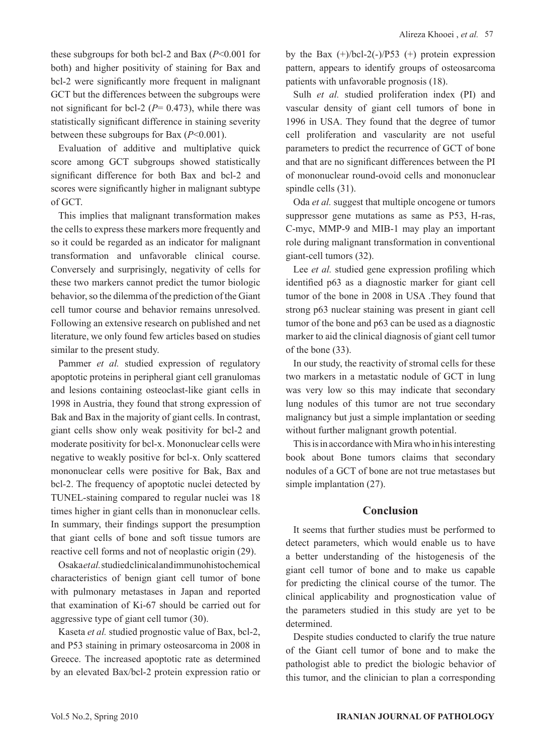these subgroups for both bcl-2 and Bax  $(P<0.001$  for both) and higher positivity of staining for Bax and bcl-2 were significantly more frequent in malignant GCT but the differences between the subgroups were not significant for bcl-2 ( $P = 0.473$ ), while there was statistically significant difference in staining severity between these subgroups for Bax (*P*<0.001).

Evaluation of additive and multiplative quick score among GCT subgroups showed statistically significant difference for both Bax and bcl-2 and scores were significantly higher in malignant subtype of GCT.

This implies that malignant transformation makes the cells to express these markers more frequently and so it could be regarded as an indicator for malignant transformation and unfavorable clinical course. Conversely and surprisingly, negativity of cells for these two markers cannot predict the tumor biologic behavior, so the dilemma of the prediction of the Giant cell tumor course and behavior remains unresolved. Following an extensive research on published and net literature, we only found few articles based on studies similar to the present study.

Pammer *et al.* studied expression of regulatory apoptotic proteins in peripheral giant cell granulomas and lesions containing osteoclast-like giant cells in 1998 in Austria, they found that strong expression of Bak and Bax in the majority of giant cells. In contrast, giant cells show only weak positivity for bcl-2 and moderate positivity for bcl-x. Mononuclear cells were negative to weakly positive for bcl-x. Only scattered mononuclear cells were positive for Bak, Bax and bcl-2. The frequency of apoptotic nuclei detected by TUNEL-staining compared to regular nuclei was 18 times higher in giant cells than in mononuclear cells. In summary, their findings support the presumption that giant cells of bone and soft tissue tumors are reactive cell forms and not of neoplastic origin (29).

Osaka *et al.* studied clinical and immunohistochemical characteristics of benign giant cell tumor of bone with pulmonary metastases in Japan and reported that examination of Ki-67 should be carried out for aggressive type of giant cell tumor (30).

Kaseta *et al.* studied prognostic value of Bax, bcl-2, and P53 staining in primary osteosarcoma in 2008 in Greece. The increased apoptotic rate as determined by an elevated Bax/bcl-2 protein expression ratio or by the Bax  $(+)/bcl-2(-)/P53$   $(+)$  protein expression pattern, appears to identify groups of osteosarcoma patients with unfavorable prognosis (18).

Sulh *et al.* studied proliferation index (PI) and vascular density of giant cell tumors of bone in 1996 in USA. They found that the degree of tumor cell proliferation and vascularity are not useful parameters to predict the recurrence of GCT of bone and that are no significant differences between the PI of mononuclear round-ovoid cells and mononuclear spindle cells (31).

Oda *et al.* suggest that multiple oncogene or tumors suppressor gene mutations as same as P53, H-ras, C-myc, MMP-9 and MIB-1 may play an important role during malignant transformation in conventional giant-cell tumors (32).

Lee *et al.* studied gene expression profiling which identified p63 as a diagnostic marker for giant cell tumor of the bone in 2008 in USA .They found that strong p63 nuclear staining was present in giant cell tumor of the bone and p63 can be used as a diagnostic marker to aid the clinical diagnosis of giant cell tumor of the bone (33).

In our study, the reactivity of stromal cells for these two markers in a metastatic nodule of GCT in lung was very low so this may indicate that secondary lung nodules of this tumor are not true secondary malignancy but just a simple implantation or seeding without further malignant growth potential.

This is in accordance with Mira who in his interesting book about Bone tumors claims that secondary nodules of a GCT of bone are not true metastases but simple implantation (27).

# **Conclusion**

It seems that further studies must be performed to detect parameters, which would enable us to have a better understanding of the histogenesis of the giant cell tumor of bone and to make us capable for predicting the clinical course of the tumor. The clinical applicability and prognostication value of the parameters studied in this study are yet to be determined.

Despite studies conducted to clarify the true nature of the Giant cell tumor of bone and to make the pathologist able to predict the biologic behavior of this tumor, and the clinician to plan a corresponding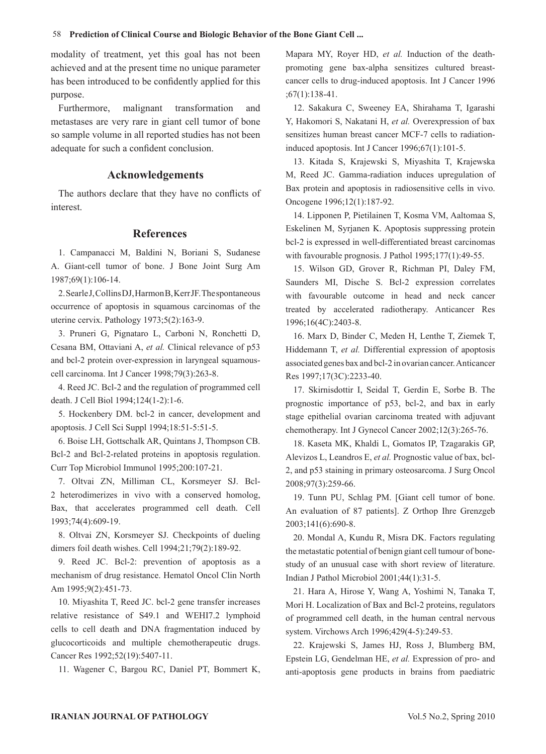modality of treatment, yet this goal has not been achieved and at the present time no unique parameter has been introduced to be confidently applied for this purpose.

Furthermore, malignant transformation and metastases are very rare in giant cell tumor of bone so sample volume in all reported studies has not been adequate for such a confident conclusion.

## **Acknowledgements**

The authors declare that they have no conflicts of interest.

#### **References**

1. Campanacci M, Baldini N, Boriani S, Sudanese A. Giant-cell tumor of bone. J Bone Joint Surg Am 1987;69(1):106-14.

2. Searle J, Collins DJ, Harmon B, Kerr JF. The spontaneous occurrence of apoptosis in squamous carcinomas of the uterine cervix. Pathology 1973;5(2):163-9.

3. Pruneri G, Pignataro L, Carboni N, Ronchetti D, Cesana BM, Ottaviani A, *et al.* Clinical relevance of p53 and bcl-2 protein over-expression in laryngeal squamouscell carcinoma. Int J Cancer 1998;79(3):263-8.

4. Reed JC. Bcl-2 and the regulation of programmed cell death. J Cell Biol 1994;124(1-2):1-6.

5. Hockenbery DM. bcl-2 in cancer, development and apoptosis. J Cell Sci Suppl 1994;18:51-5:51-5.

6. Boise LH, Gottschalk AR, Quintans J, Thompson CB. Bcl-2 and Bcl-2-related proteins in apoptosis regulation. Curr Top Microbiol Immunol 1995;200:107-21.

7. Oltvai ZN, Milliman CL, Korsmeyer SJ. Bcl-2 heterodimerizes in vivo with a conserved homolog, Bax, that accelerates programmed cell death. Cell 1993;74(4):609-19.

8. Oltvai ZN, Korsmeyer SJ. Checkpoints of dueling dimers foil death wishes. Cell 1994;21;79(2):189-92.

9. Reed JC. Bcl-2: prevention of apoptosis as a mechanism of drug resistance. Hematol Oncol Clin North Am 1995;9(2):451-73.

10. Miyashita T, Reed JC. bcl-2 gene transfer increases relative resistance of S49.1 and WEHI7.2 lymphoid cells to cell death and DNA fragmentation induced by glucocorticoids and multiple chemotherapeutic drugs. Cancer Res 1992;52(19):5407-11.

11. Wagener C, Bargou RC, Daniel PT, Bommert K,

Mapara MY, Royer HD, *et al.* Induction of the deathpromoting gene bax-alpha sensitizes cultured breastcancer cells to drug-induced apoptosis. Int J Cancer 1996 ;67(1):138-41.

12. Sakakura C, Sweeney EA, Shirahama T, Igarashi Y, Hakomori S, Nakatani H, *et al.* Overexpression of bax sensitizes human breast cancer MCF-7 cells to radiationinduced apoptosis. Int J Cancer 1996;67(1):101-5.

13. Kitada S, Krajewski S, Miyashita T, Krajewska M, Reed JC. Gamma-radiation induces upregulation of Bax protein and apoptosis in radiosensitive cells in vivo. Oncogene 1996;12(1):187-92.

14. Lipponen P, Pietilainen T, Kosma VM, Aaltomaa S, Eskelinen M, Syrjanen K. Apoptosis suppressing protein bcl-2 is expressed in well-differentiated breast carcinomas with favourable prognosis. J Pathol 1995;177(1):49-55.

15. Wilson GD, Grover R, Richman PI, Daley FM, Saunders MI, Dische S. Bcl-2 expression correlates with favourable outcome in head and neck cancer treated by accelerated radiotherapy. Anticancer Res 1996;16(4C):2403-8.

16. Marx D, Binder C, Meden H, Lenthe T, Ziemek T, Hiddemann T, *et al.* Differential expression of apoptosis associated genes bax and bcl-2 in ovarian cancer. Anticancer Res 1997;17(3C):2233-40.

17. Skirnisdottir I, Seidal T, Gerdin E, Sorbe B. The prognostic importance of p53, bcl-2, and bax in early stage epithelial ovarian carcinoma treated with adjuvant chemotherapy. Int J Gynecol Cancer 2002;12(3):265-76.

18. Kaseta MK, Khaldi L, Gomatos IP, Tzagarakis GP, Alevizos L, Leandros E, *et al.* Prognostic value of bax, bcl-2, and p53 staining in primary osteosarcoma. J Surg Oncol 2008;97(3):259-66.

19. Tunn PU, Schlag PM. [Giant cell tumor of bone. An evaluation of 87 patients]. Z Orthop Ihre Grenzgeb 2003;141(6):690-8.

20. Mondal A, Kundu R, Misra DK. Factors regulating the metastatic potential of benign giant cell tumour of bonestudy of an unusual case with short review of literature. Indian J Pathol Microbiol 2001;44(1):31-5.

21. Hara A, Hirose Y, Wang A, Yoshimi N, Tanaka T, Mori H. Localization of Bax and Bcl-2 proteins, regulators of programmed cell death, in the human central nervous system. Virchows Arch 1996;429(4-5):249-53.

22. Krajewski S, James HJ, Ross J, Blumberg BM, Epstein LG, Gendelman HE, *et al.* Expression of pro- and anti-apoptosis gene products in brains from paediatric